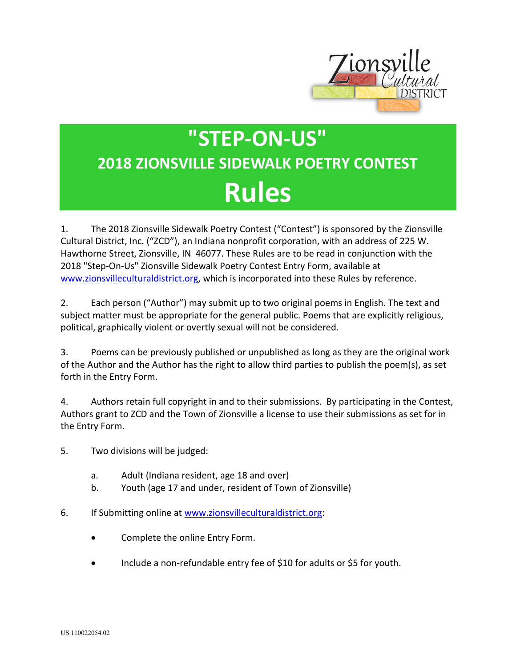

## **"STEP-ON-US" 2018 ZIONSVILLE SIDEWALK POETRY CONTEST Rules**

1. The 2018 Zionsville Sidewalk Poetry Contest ("Contest") is sponsored by the Zionsville Cultural District, Inc. ("ZCD"), an Indiana nonprofit corporation, with an address of 225 W. Hawthorne Street, Zionsville, IN 46077. These Rules are to be read in conjunction with the 2018 "Step-On-Us" Zionsville Sidewalk Poetry Contest Entry Form, available at www.zionsvilleculturaldistrict.org, which is incorporated into these Rules by reference.

2. Each person ("Author") may submit up to two original poems in English. The text and subject matter must be appropriate for the general public. Poems that are explicitly religious, political, graphically violent or overtly sexual will not be considered.

3. Poems can be previously published or unpublished as long as they are the original work of the Author and the Author has the right to allow third parties to publish the poem(s), as set forth in the Entry Form.

4. Authors retain full copyright in and to their submissions. By participating in the Contest, Authors grant to ZCD and the Town of Zionsville a license to use their submissions as set for in the Entry Form.

- 5. Two divisions will be judged:
	- a. Adult (Indiana resident, age 18 and over)
	- b. Youth (age 17 and under, resident of Town of Zionsville)
- 6. If Submitting online at www.zionsvilleculturaldistrict.org:
	- Complete the online Entry Form.
	- Include a non-refundable entry fee of \$10 for adults or \$5 for youth.